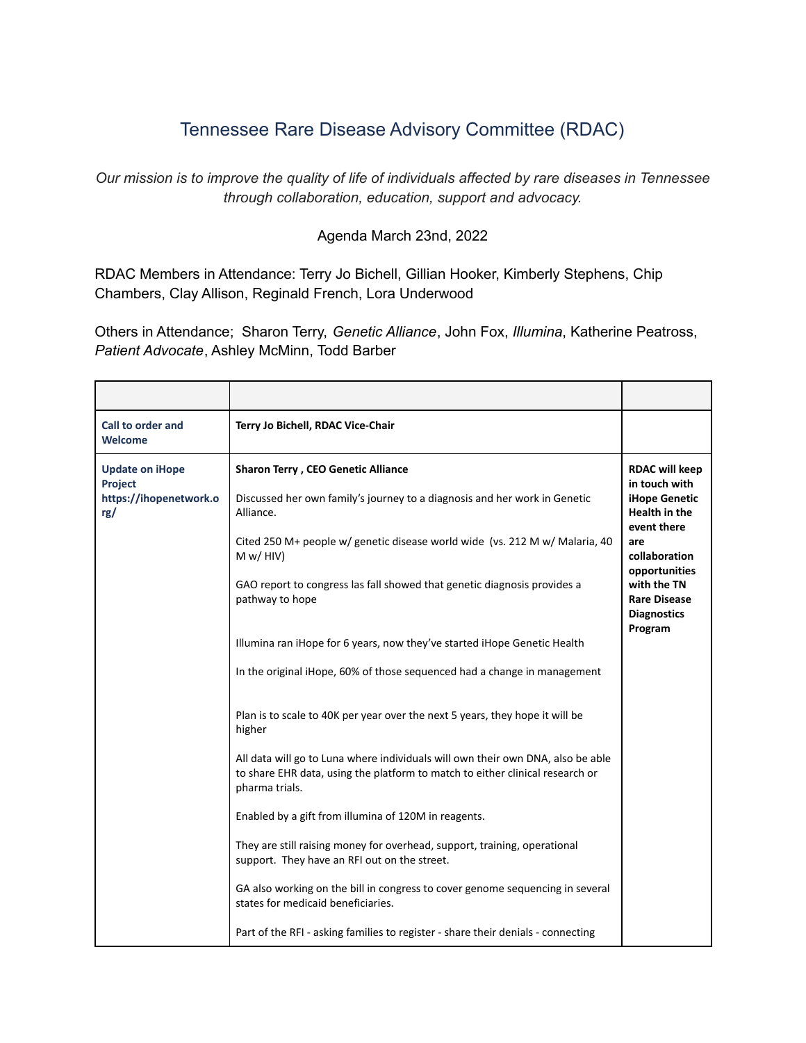## Tennessee Rare Disease Advisory Committee (RDAC)

*Our mission is to improve the quality of life of individuals affected by rare diseases in Tennessee through collaboration, education, support and advocacy.*

## Agenda March 23nd, 2022

RDAC Members in Attendance: Terry Jo Bichell, Gillian Hooker, Kimberly Stephens, Chip Chambers, Clay Allison, Reginald French, Lora Underwood

Others in Attendance; Sharon Terry, *Genetic Alliance*, John Fox, *Illumina*, Katherine Peatross, *Patient Advocate*, Ashley McMinn, Todd Barber

| Call to order and<br><b>Welcome</b>                                | Terry Jo Bichell, RDAC Vice-Chair                                                                                                                                                  |                                                                                                |
|--------------------------------------------------------------------|------------------------------------------------------------------------------------------------------------------------------------------------------------------------------------|------------------------------------------------------------------------------------------------|
| <b>Update on iHope</b><br>Project<br>https://ihopenetwork.o<br>rg/ | Sharon Terry, CEO Genetic Alliance<br>Discussed her own family's journey to a diagnosis and her work in Genetic<br>Alliance.                                                       | <b>RDAC will keep</b><br>in touch with<br><b>iHope Genetic</b><br>Health in the<br>event there |
|                                                                    | Cited 250 M+ people w/ genetic disease world wide (vs. 212 M w/ Malaria, 40<br>M w / HIV                                                                                           | are<br>collaboration<br>opportunities                                                          |
|                                                                    | GAO report to congress las fall showed that genetic diagnosis provides a<br>pathway to hope                                                                                        | with the TN<br><b>Rare Disease</b><br><b>Diagnostics</b><br>Program                            |
|                                                                    | Illumina ran iHope for 6 years, now they've started iHope Genetic Health                                                                                                           |                                                                                                |
|                                                                    | In the original iHope, 60% of those sequenced had a change in management                                                                                                           |                                                                                                |
|                                                                    | Plan is to scale to 40K per year over the next 5 years, they hope it will be<br>higher                                                                                             |                                                                                                |
|                                                                    | All data will go to Luna where individuals will own their own DNA, also be able<br>to share EHR data, using the platform to match to either clinical research or<br>pharma trials. |                                                                                                |
|                                                                    | Enabled by a gift from illumina of 120M in reagents.                                                                                                                               |                                                                                                |
|                                                                    | They are still raising money for overhead, support, training, operational<br>support. They have an RFI out on the street.                                                          |                                                                                                |
|                                                                    | GA also working on the bill in congress to cover genome sequencing in several<br>states for medicaid beneficiaries.                                                                |                                                                                                |
|                                                                    | Part of the RFI - asking families to register - share their denials - connecting                                                                                                   |                                                                                                |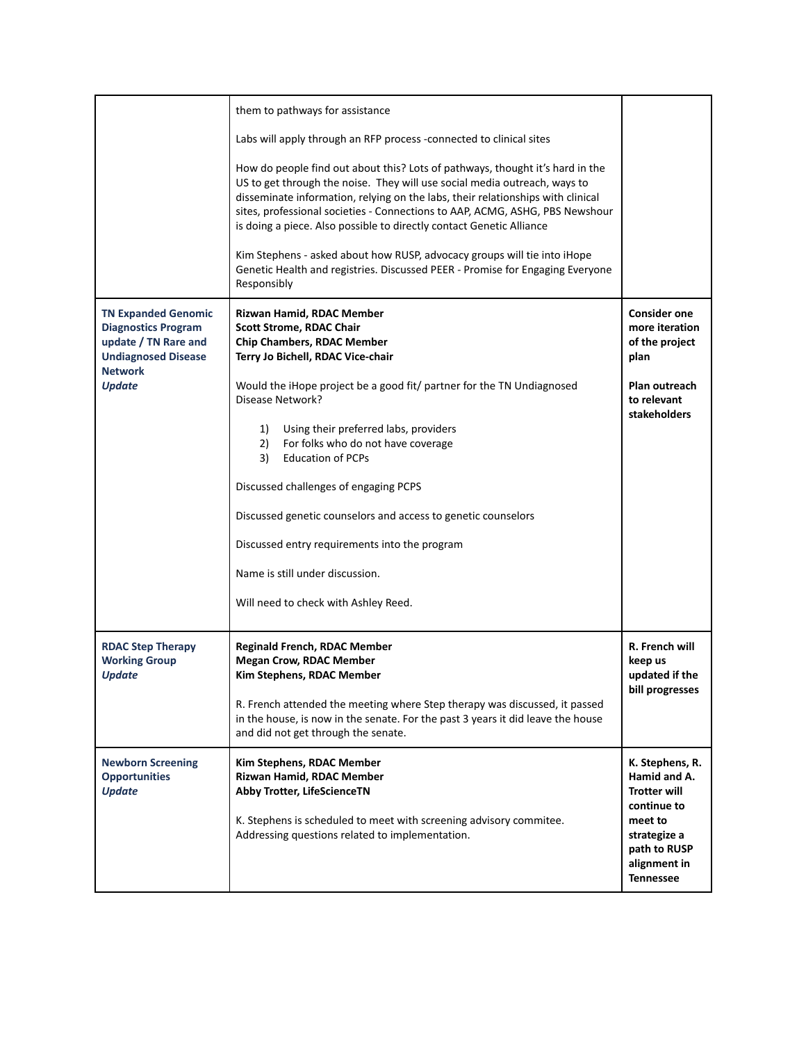|                                                                                                                                  | them to pathways for assistance                                                                                                                                                                                                                                                                                                                                                                                                                                                                                                                                                   |                                                                                                                                  |
|----------------------------------------------------------------------------------------------------------------------------------|-----------------------------------------------------------------------------------------------------------------------------------------------------------------------------------------------------------------------------------------------------------------------------------------------------------------------------------------------------------------------------------------------------------------------------------------------------------------------------------------------------------------------------------------------------------------------------------|----------------------------------------------------------------------------------------------------------------------------------|
|                                                                                                                                  | Labs will apply through an RFP process -connected to clinical sites                                                                                                                                                                                                                                                                                                                                                                                                                                                                                                               |                                                                                                                                  |
|                                                                                                                                  | How do people find out about this? Lots of pathways, thought it's hard in the<br>US to get through the noise. They will use social media outreach, ways to<br>disseminate information, relying on the labs, their relationships with clinical<br>sites, professional societies - Connections to AAP, ACMG, ASHG, PBS Newshour<br>is doing a piece. Also possible to directly contact Genetic Alliance<br>Kim Stephens - asked about how RUSP, advocacy groups will tie into iHope<br>Genetic Health and registries. Discussed PEER - Promise for Engaging Everyone<br>Responsibly |                                                                                                                                  |
| <b>TN Expanded Genomic</b><br><b>Diagnostics Program</b><br>update / TN Rare and<br><b>Undiagnosed Disease</b><br><b>Network</b> | Rizwan Hamid, RDAC Member<br><b>Scott Strome, RDAC Chair</b><br><b>Chip Chambers, RDAC Member</b><br>Terry Jo Bichell, RDAC Vice-chair                                                                                                                                                                                                                                                                                                                                                                                                                                            | <b>Consider one</b><br>more iteration<br>of the project<br>plan                                                                  |
| <b>Update</b>                                                                                                                    | Would the iHope project be a good fit/ partner for the TN Undiagnosed<br>Disease Network?                                                                                                                                                                                                                                                                                                                                                                                                                                                                                         | Plan outreach<br>to relevant<br><b>stakeholders</b>                                                                              |
|                                                                                                                                  | 1)<br>Using their preferred labs, providers<br>2)<br>For folks who do not have coverage<br><b>Education of PCPs</b><br>3)                                                                                                                                                                                                                                                                                                                                                                                                                                                         |                                                                                                                                  |
|                                                                                                                                  | Discussed challenges of engaging PCPS                                                                                                                                                                                                                                                                                                                                                                                                                                                                                                                                             |                                                                                                                                  |
|                                                                                                                                  | Discussed genetic counselors and access to genetic counselors                                                                                                                                                                                                                                                                                                                                                                                                                                                                                                                     |                                                                                                                                  |
|                                                                                                                                  | Discussed entry requirements into the program                                                                                                                                                                                                                                                                                                                                                                                                                                                                                                                                     |                                                                                                                                  |
|                                                                                                                                  | Name is still under discussion.                                                                                                                                                                                                                                                                                                                                                                                                                                                                                                                                                   |                                                                                                                                  |
|                                                                                                                                  | Will need to check with Ashley Reed.                                                                                                                                                                                                                                                                                                                                                                                                                                                                                                                                              |                                                                                                                                  |
| <b>RDAC Step Therapy</b><br><b>Working Group</b><br><b>Update</b>                                                                | <b>Reginald French, RDAC Member</b><br><b>Megan Crow, RDAC Member</b><br>Kim Stephens, RDAC Member                                                                                                                                                                                                                                                                                                                                                                                                                                                                                | R. French will<br>keep us<br>updated if the<br>bill progresses                                                                   |
|                                                                                                                                  | R. French attended the meeting where Step therapy was discussed, it passed<br>in the house, is now in the senate. For the past 3 years it did leave the house<br>and did not get through the senate.                                                                                                                                                                                                                                                                                                                                                                              |                                                                                                                                  |
| <b>Newborn Screening</b><br><b>Opportunities</b><br><b>Update</b>                                                                | Kim Stephens, RDAC Member<br>Rizwan Hamid, RDAC Member<br><b>Abby Trotter, LifeScienceTN</b><br>K. Stephens is scheduled to meet with screening advisory commitee.<br>Addressing questions related to implementation.                                                                                                                                                                                                                                                                                                                                                             | K. Stephens, R.<br>Hamid and A.<br><b>Trotter will</b><br>continue to<br>meet to<br>strategize a<br>path to RUSP<br>alignment in |
|                                                                                                                                  |                                                                                                                                                                                                                                                                                                                                                                                                                                                                                                                                                                                   | <b>Tennessee</b>                                                                                                                 |